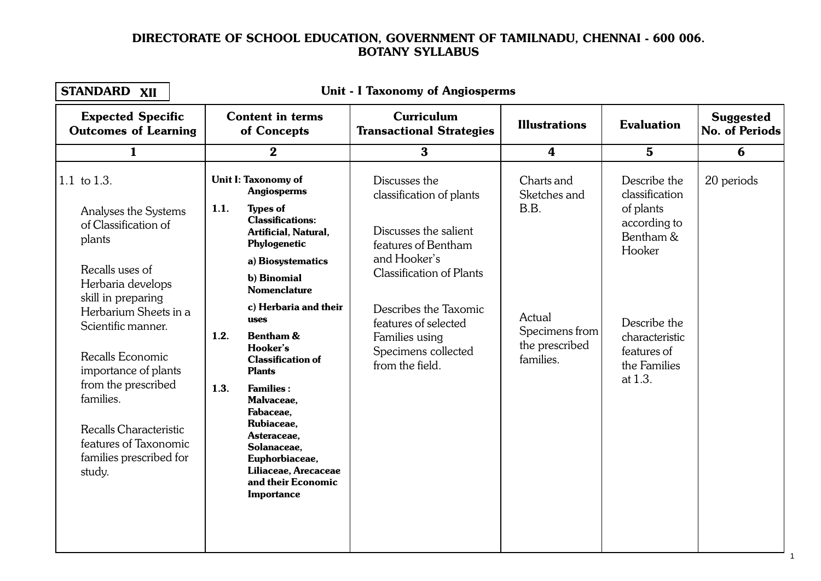| <b>STANDARD</b><br>Unit - I Taxonomy of Angiosperms<br><b>XII</b>                                                                                                                                                                                                                                                                                          |                                                                                                                                                                                                                                                                                                                                                                                                                                                                                                                             |                                                                                                                                                                                                                                                           |                                                                                               |                                                                                                                                                                |                                           |
|------------------------------------------------------------------------------------------------------------------------------------------------------------------------------------------------------------------------------------------------------------------------------------------------------------------------------------------------------------|-----------------------------------------------------------------------------------------------------------------------------------------------------------------------------------------------------------------------------------------------------------------------------------------------------------------------------------------------------------------------------------------------------------------------------------------------------------------------------------------------------------------------------|-----------------------------------------------------------------------------------------------------------------------------------------------------------------------------------------------------------------------------------------------------------|-----------------------------------------------------------------------------------------------|----------------------------------------------------------------------------------------------------------------------------------------------------------------|-------------------------------------------|
| <b>Expected Specific</b><br><b>Outcomes of Learning</b>                                                                                                                                                                                                                                                                                                    | <b>Content in terms</b><br>of Concepts                                                                                                                                                                                                                                                                                                                                                                                                                                                                                      | <b>Curriculum</b><br><b>Transactional Strategies</b>                                                                                                                                                                                                      | <b>Illustrations</b>                                                                          | <b>Evaluation</b>                                                                                                                                              | <b>Suggested</b><br><b>No. of Periods</b> |
| $\mathbf{1}$                                                                                                                                                                                                                                                                                                                                               | $\bf{2}$                                                                                                                                                                                                                                                                                                                                                                                                                                                                                                                    | $\bf{3}$                                                                                                                                                                                                                                                  | 4                                                                                             | $5\overline{)}$                                                                                                                                                | 6                                         |
| 1.1 to 1.3.<br>Analyses the Systems<br>of Classification of<br>plants<br>Recalls uses of<br>Herbaria develops<br>skill in preparing<br>Herbarium Sheets in a<br>Scientific manner.<br>Recalls Economic<br>importance of plants<br>from the prescribed<br>families.<br>Recalls Characteristic<br>features of Taxonomic<br>families prescribed for<br>study. | Unit I: Taxonomy of<br><b>Angiosperms</b><br>1.1.<br><b>Types of</b><br><b>Classifications:</b><br>Artificial, Natural,<br>Phylogenetic<br>a) Biosystematics<br>b) Binomial<br><b>Nomenclature</b><br>c) Herbaria and their<br><b>uses</b><br>1.2.<br><b>Bentham &amp;</b><br>Hooker's<br><b>Classification of</b><br><b>Plants</b><br>1.3.<br><b>Families:</b><br>Malvaceae.<br>Fabaceae,<br>Rubiaceae.<br>Asteraceae.<br>Solanaceae.<br>Euphorbiaceae,<br>Liliaceae, Arecaceae<br>and their Economic<br><b>Importance</b> | Discusses the<br>classification of plants<br>Discusses the salient<br>features of Bentham<br>and Hooker's<br><b>Classification of Plants</b><br>Describes the Taxomic<br>features of selected<br>Families using<br>Specimens collected<br>from the field. | Charts and<br>Sketches and<br>B.B.<br>Actual<br>Specimens from<br>the prescribed<br>families. | Describe the<br>classification<br>of plants<br>according to<br>Bentham &<br>Hooker<br>Describe the<br>characteristic<br>features of<br>the Families<br>at 1.3. | 20 periods                                |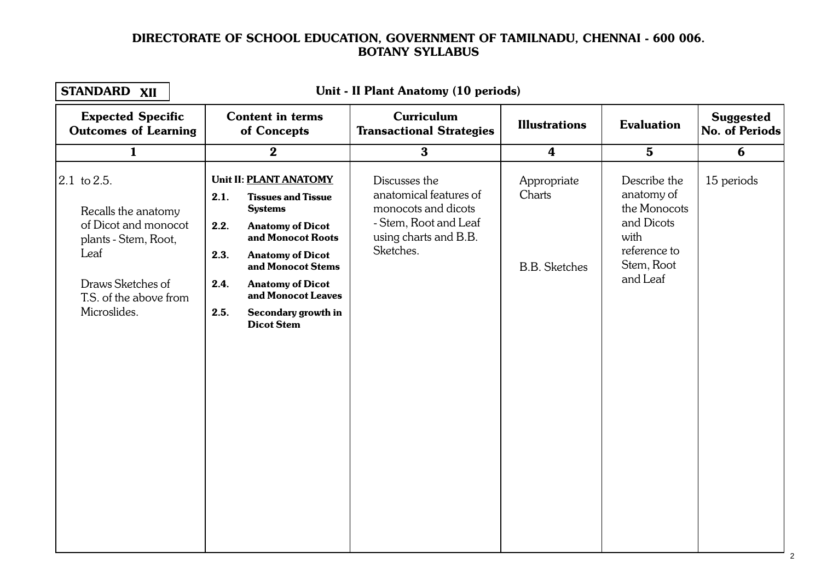| Unit - II Plant Anatomy (10 periods)<br><b>STANDARD XII</b>                                                                                               |                                                                                                                                                                                                                                                                                                            |                                                                                                                               |                                               |                                                                                                            |                                           |
|-----------------------------------------------------------------------------------------------------------------------------------------------------------|------------------------------------------------------------------------------------------------------------------------------------------------------------------------------------------------------------------------------------------------------------------------------------------------------------|-------------------------------------------------------------------------------------------------------------------------------|-----------------------------------------------|------------------------------------------------------------------------------------------------------------|-------------------------------------------|
| <b>Expected Specific</b><br><b>Outcomes of Learning</b>                                                                                                   | <b>Content in terms</b><br>of Concepts                                                                                                                                                                                                                                                                     | <b>Curriculum</b><br><b>Transactional Strategies</b>                                                                          | <b>Illustrations</b>                          | <b>Evaluation</b>                                                                                          | <b>Suggested</b><br><b>No. of Periods</b> |
| $\mathbf{1}$                                                                                                                                              | $\boldsymbol{2}$                                                                                                                                                                                                                                                                                           | $\mathbf{3}$                                                                                                                  | $\overline{\mathbf{4}}$                       | $5\phantom{1}$                                                                                             | 6                                         |
| 2.1 to 2.5.<br>Recalls the anatomy<br>of Dicot and monocot<br>plants - Stem, Root,<br>Leaf<br>Draws Sketches of<br>T.S. of the above from<br>Microslides. | Unit II: PLANT ANATOMY<br>2.1.<br><b>Tissues and Tissue</b><br><b>Systems</b><br>2.2.<br><b>Anatomy of Dicot</b><br>and Monocot Roots<br>2.3.<br><b>Anatomy of Dicot</b><br>and Monocot Stems<br>2.4.<br><b>Anatomy of Dicot</b><br>and Monocot Leaves<br>2.5.<br>Secondary growth in<br><b>Dicot Stem</b> | Discusses the<br>anatomical features of<br>monocots and dicots<br>- Stem, Root and Leaf<br>using charts and B.B.<br>Sketches. | Appropriate<br>Charts<br><b>B.B.</b> Sketches | Describe the<br>anatomy of<br>the Monocots<br>and Dicots<br>with<br>reference to<br>Stem, Root<br>and Leaf | 15 periods                                |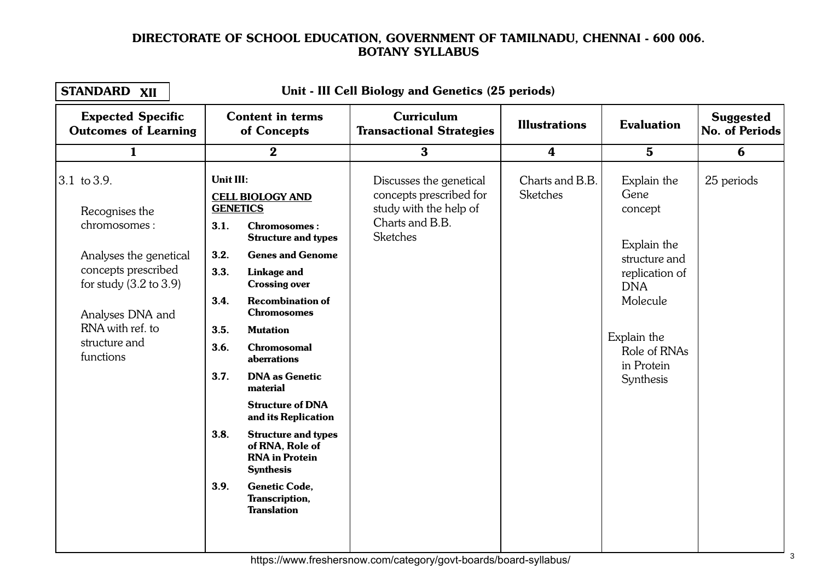| <b>STANDARD XII</b><br>Unit - III Cell Biology and Genetics (25 periods)                                                                                                                                              |                                                                                                                                                                                                                                                                                                                                                                                                                                                                                                                                                                                                                             |                                                                                                                    |                                    |                                                                                                                                                                      |                                    |  |
|-----------------------------------------------------------------------------------------------------------------------------------------------------------------------------------------------------------------------|-----------------------------------------------------------------------------------------------------------------------------------------------------------------------------------------------------------------------------------------------------------------------------------------------------------------------------------------------------------------------------------------------------------------------------------------------------------------------------------------------------------------------------------------------------------------------------------------------------------------------------|--------------------------------------------------------------------------------------------------------------------|------------------------------------|----------------------------------------------------------------------------------------------------------------------------------------------------------------------|------------------------------------|--|
| <b>Expected Specific</b><br><b>Outcomes of Learning</b>                                                                                                                                                               | <b>Content in terms</b><br>of Concepts                                                                                                                                                                                                                                                                                                                                                                                                                                                                                                                                                                                      | <b>Curriculum</b><br><b>Transactional Strategies</b>                                                               | <b>Illustrations</b>               | <b>Evaluation</b>                                                                                                                                                    | <b>Suggested</b><br>No. of Periods |  |
| $\mathbf{1}$                                                                                                                                                                                                          | $\boldsymbol{2}$                                                                                                                                                                                                                                                                                                                                                                                                                                                                                                                                                                                                            | $\bf{3}$                                                                                                           | $\boldsymbol{4}$                   | 5 <sup>5</sup>                                                                                                                                                       | 6                                  |  |
| $ 3.1 \text{ to } 3.9.$<br>Recognises the<br>chromosomes:<br>Analyses the genetical<br>concepts prescribed<br>for study $(3.2 \text{ to } 3.9)$<br>Analyses DNA and<br>RNA with ref. to<br>structure and<br>functions | <b>Unit III:</b><br><b>CELL BIOLOGY AND</b><br><b>GENETICS</b><br>3.1.<br><b>Chromosomes:</b><br><b>Structure and types</b><br>3.2.<br><b>Genes and Genome</b><br>3.3.<br>Linkage and<br><b>Crossing over</b><br>3.4.<br><b>Recombination of</b><br><b>Chromosomes</b><br>3.5.<br><b>Mutation</b><br>3.6.<br><b>Chromosomal</b><br>aberrations<br>3.7.<br><b>DNA</b> as Genetic<br>material<br><b>Structure of DNA</b><br>and its Replication<br>3.8.<br><b>Structure and types</b><br>of RNA, Role of<br><b>RNA</b> in Protein<br><b>Synthesis</b><br>3.9.<br><b>Genetic Code,</b><br>Transcription,<br><b>Translation</b> | Discusses the genetical<br>concepts prescribed for<br>study with the help of<br>Charts and B.B.<br><b>Sketches</b> | Charts and B.B.<br><b>Sketches</b> | Explain the<br>Gene<br>concept<br>Explain the<br>structure and<br>replication of<br><b>DNA</b><br>Molecule<br>Explain the<br>Role of RNAs<br>in Protein<br>Synthesis | 25 periods                         |  |
|                                                                                                                                                                                                                       |                                                                                                                                                                                                                                                                                                                                                                                                                                                                                                                                                                                                                             |                                                                                                                    |                                    |                                                                                                                                                                      |                                    |  |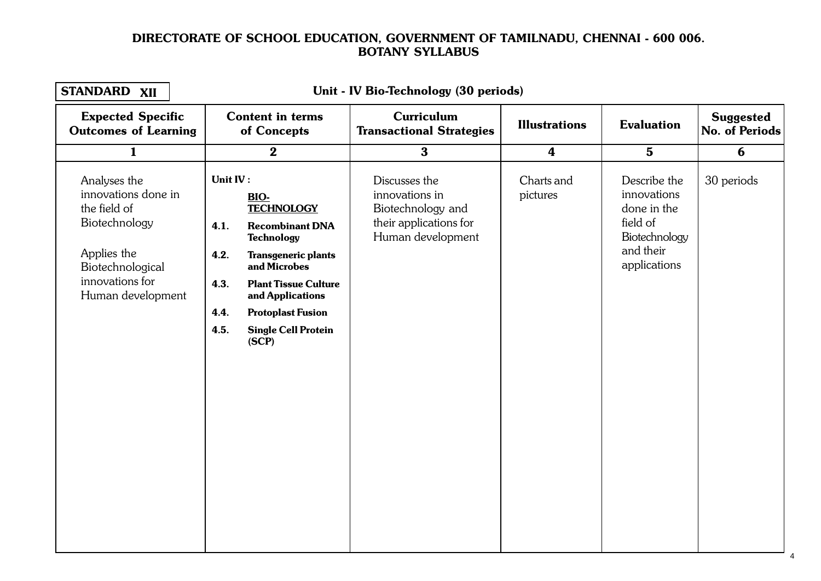1.1. Cellular LUnitevel Organisation

Unit - IV Bio-Technology (30 periods)

| STANDARD XII<br>Unit - IV Bio-Technology (30 periods)                                                                                           |                                                                                                                                                                                                                                                                                                                  |                                                                                                     |                        |                                                                                                      |                                    |
|-------------------------------------------------------------------------------------------------------------------------------------------------|------------------------------------------------------------------------------------------------------------------------------------------------------------------------------------------------------------------------------------------------------------------------------------------------------------------|-----------------------------------------------------------------------------------------------------|------------------------|------------------------------------------------------------------------------------------------------|------------------------------------|
| <b>Expected Specific</b><br><b>Outcomes of Learning</b>                                                                                         | <b>Content in terms</b><br>of Concepts                                                                                                                                                                                                                                                                           | <b>Curriculum</b><br><b>Transactional Strategies</b>                                                | <b>Illustrations</b>   | <b>Evaluation</b>                                                                                    | <b>Suggested</b><br>No. of Periods |
| $\mathbf{1}$                                                                                                                                    | $\bf{2}$                                                                                                                                                                                                                                                                                                         | $\overline{\mathbf{3}}$                                                                             | $\boldsymbol{4}$       | $5\phantom{.}$                                                                                       | 6                                  |
| Analyses the<br>innovations done in<br>the field of<br>Biotechnology<br>Applies the<br>Biotechnological<br>innovations for<br>Human development | Unit IV:<br><b>BIO-</b><br><b>TECHNOLOGY</b><br><b>Recombinant DNA</b><br>4.1.<br><b>Technology</b><br>4.2.<br><b>Transgeneric plants</b><br>and Microbes<br><b>Plant Tissue Culture</b><br>4.3.<br>and Applications<br><b>Protoplast Fusion</b><br>4.4.<br>4.5.<br><b>Single Cell Protein</b><br>( <b>SCP</b> ) | Discusses the<br>innovations in<br>Biotechnology and<br>their applications for<br>Human development | Charts and<br>pictures | Describe the<br>innovations<br>done in the<br>field of<br>Biotechnology<br>and their<br>applications | 30 periods                         |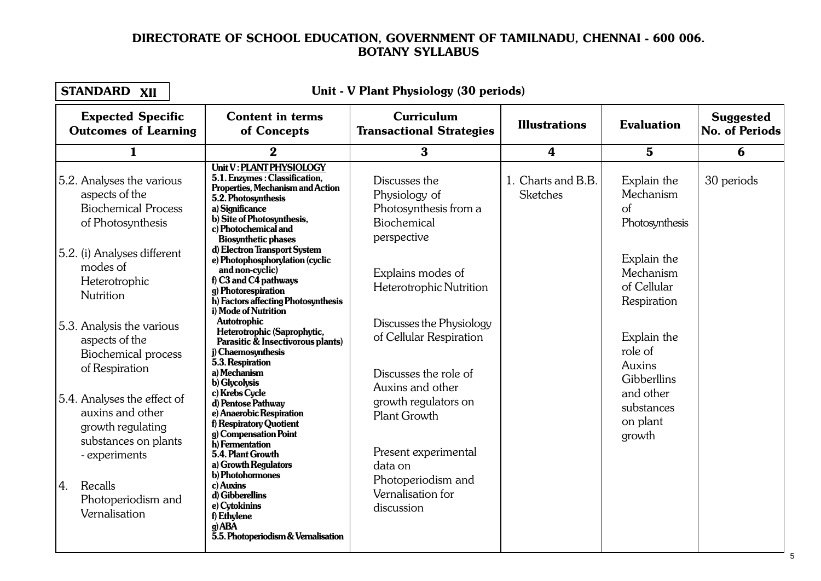1.1. Cellular LUnitevel Organisation

| <b>STANDARD XII</b><br>Unit - V Plant Physiology (30 periods)                                                                                                                                                                                                                                                                                                                                                                                          |                                                                                                                                                                                                                                                                                                                                                                                                                                                                                                                                                                                                                                                                                                                                                                                                                                                                                                                                                   |                                                                                                                                                                                                                                                                                                                                                                                      |                                       |                                                                                                                                                                                                                           |                                           |
|--------------------------------------------------------------------------------------------------------------------------------------------------------------------------------------------------------------------------------------------------------------------------------------------------------------------------------------------------------------------------------------------------------------------------------------------------------|---------------------------------------------------------------------------------------------------------------------------------------------------------------------------------------------------------------------------------------------------------------------------------------------------------------------------------------------------------------------------------------------------------------------------------------------------------------------------------------------------------------------------------------------------------------------------------------------------------------------------------------------------------------------------------------------------------------------------------------------------------------------------------------------------------------------------------------------------------------------------------------------------------------------------------------------------|--------------------------------------------------------------------------------------------------------------------------------------------------------------------------------------------------------------------------------------------------------------------------------------------------------------------------------------------------------------------------------------|---------------------------------------|---------------------------------------------------------------------------------------------------------------------------------------------------------------------------------------------------------------------------|-------------------------------------------|
| <b>Expected Specific</b><br><b>Outcomes of Learning</b>                                                                                                                                                                                                                                                                                                                                                                                                | <b>Content in terms</b><br>of Concepts                                                                                                                                                                                                                                                                                                                                                                                                                                                                                                                                                                                                                                                                                                                                                                                                                                                                                                            | <b>Curriculum</b><br><b>Transactional Strategies</b>                                                                                                                                                                                                                                                                                                                                 | <b>Illustrations</b>                  | <b>Evaluation</b>                                                                                                                                                                                                         | <b>Suggested</b><br><b>No. of Periods</b> |
| $\mathbf{1}$                                                                                                                                                                                                                                                                                                                                                                                                                                           | $\mathbf{2}$                                                                                                                                                                                                                                                                                                                                                                                                                                                                                                                                                                                                                                                                                                                                                                                                                                                                                                                                      | $\mathbf{3}$                                                                                                                                                                                                                                                                                                                                                                         | $\overline{\mathbf{4}}$               | $5\phantom{1}$                                                                                                                                                                                                            | 6                                         |
| 5.2. Analyses the various<br>aspects of the<br><b>Biochemical Process</b><br>of Photosynthesis<br>5.2. (i) Analyses different<br>modes of<br>Heterotrophic<br><b>Nutrition</b><br>5.3. Analysis the various<br>aspects of the<br><b>Biochemical process</b><br>of Respiration<br>5.4. Analyses the effect of<br>auxins and other<br>growth regulating<br>substances on plants<br>- experiments<br>Recalls<br>4.<br>Photoperiodism and<br>Vernalisation | Unit V: PLANT PHYSIOLOGY<br>5.1. Enzymes: Classification,<br>Properties, Mechanism and Action<br>5.2. Photosynthesis<br>a) Significance<br>b) Site of Photosynthesis,<br>c) Photochemical and<br><b>Biosynthetic phases</b><br>d) Electron Transport System<br>e) Photophosphorylation (cyclic<br>and non-cyclic)<br>f) C3 and C4 pathways<br>g) Photorespiration<br>h) Factors affecting Photosynthesis<br>i) Mode of Nutrition<br><b>Autotrophic</b><br>Heterotrophic (Saprophytic,<br>Parasitic & Insectivorous plants)<br>j) Chaemosynthesis<br>5.3. Respiration<br>a) Mechanism<br><b>b)</b> Glycolysis<br>c) Krebs Cycle<br>d) Pentose Pathway<br>e) Anaerobic Respiration<br>f) Respiratory Quotient<br>g) Compensation Point<br>h) Fermentation<br>5.4. Plant Growth<br>a) Growth Regulators<br><b>b</b> ) Photohormones<br>c) Auxins<br>d) Gibberellins<br>e) Cytokinins<br>f) Ethylene<br>g) ABA<br>5.5. Photoperiodism & Vernalisation | Discusses the<br>Physiology of<br>Photosynthesis from a<br>Biochemical<br>perspective<br>Explains modes of<br>Heterotrophic Nutrition<br>Discusses the Physiology<br>of Cellular Respiration<br>Discusses the role of<br>Auxins and other<br>growth regulators on<br><b>Plant Growth</b><br>Present experimental<br>data on<br>Photoperiodism and<br>Vernalisation for<br>discussion | 1. Charts and B.B.<br><b>Sketches</b> | Explain the<br>Mechanism<br><sub>of</sub><br>Photosynthesis<br>Explain the<br>Mechanism<br>of Cellular<br>Respiration<br>Explain the<br>role of<br>Auxins<br>Gibberllins<br>and other<br>substances<br>on plant<br>growth | 30 periods                                |